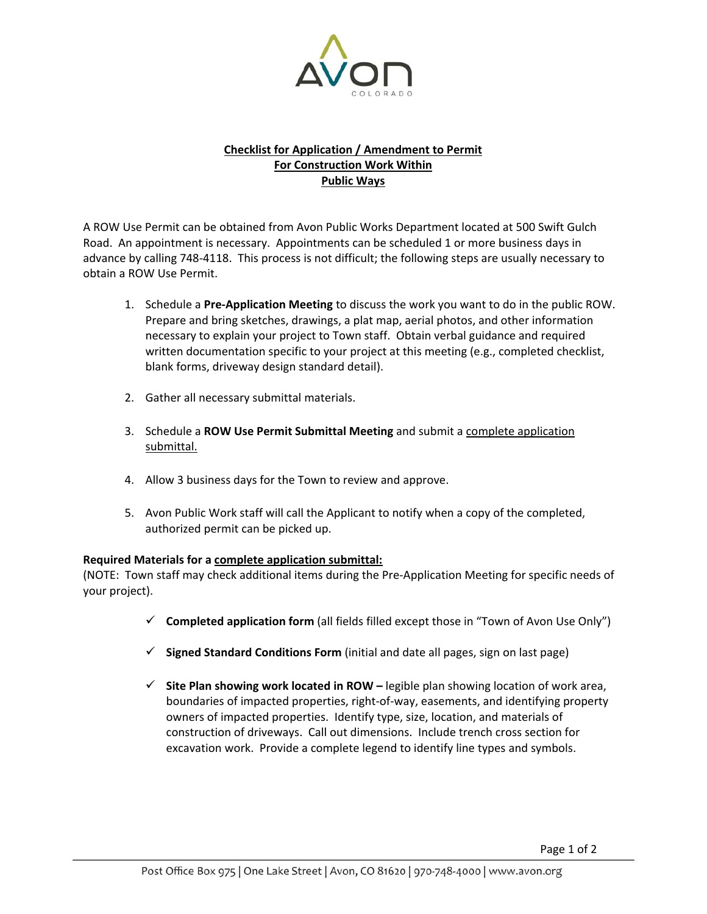

### **Checklist for Application / Amendment to Permit For Construction Work Within Public Ways**

A ROW Use Permit can be obtained from Avon Public Works Department located at 500 Swift Gulch Road. An appointment is necessary. Appointments can be scheduled 1 or more business days in advance by calling 748‐4118. This process is not difficult; the following steps are usually necessary to obtain a ROW Use Permit.

- 1. Schedule a **Pre‐Application Meeting** to discuss the work you want to do in the public ROW. Prepare and bring sketches, drawings, a plat map, aerial photos, and other information necessary to explain your project to Town staff. Obtain verbal guidance and required written documentation specific to your project at this meeting (e.g., completed checklist, blank forms, driveway design standard detail).
- 2. Gather all necessary submittal materials.
- 3. Schedule a **ROW Use Permit Submittal Meeting** and submit a complete application submittal.
- 4. Allow 3 business days for the Town to review and approve.
- 5. Avon Public Work staff will call the Applicant to notify when a copy of the completed, authorized permit can be picked up.

### **Required Materials for a complete application submittal:**

(NOTE: Town staff may check additional items during the Pre‐Application Meeting for specific needs of your project).

- 9 **Completed application form** (all fields filled except those in "Town of Avon Use Only")
- 9 **Signed Standard Conditions Form** (initial and date all pages, sign on last page)
- 9 **Site Plan showing work located in ROW –** legible plan showing location of work area, boundaries of impacted properties, right‐of‐way, easements, and identifying property owners of impacted properties. Identify type, size, location, and materials of construction of driveways. Call out dimensions. Include trench cross section for excavation work. Provide a complete legend to identify line types and symbols.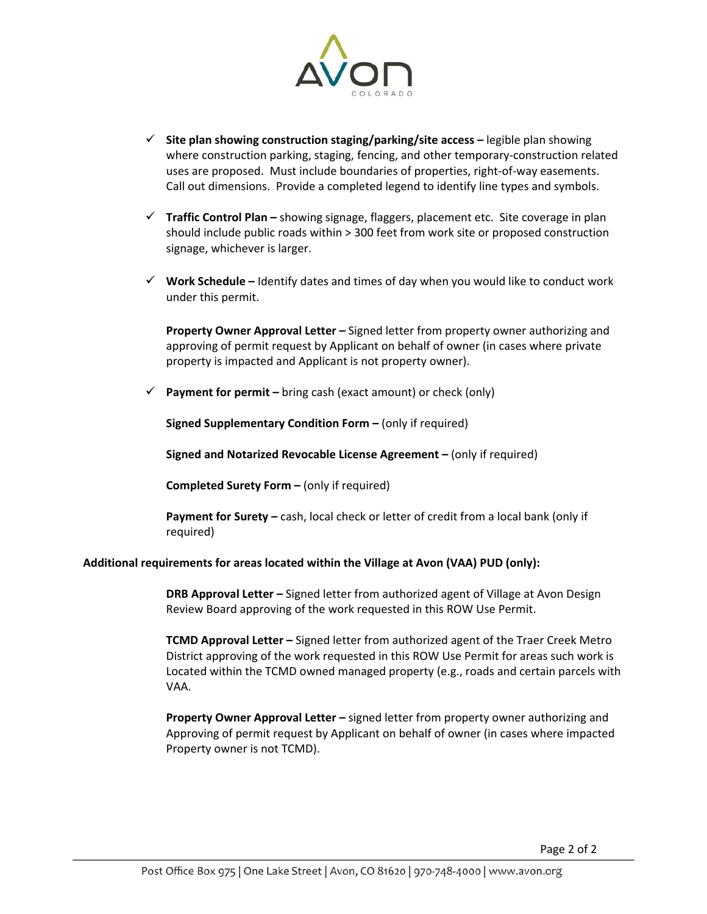

- 9 **Site plan showing construction staging/parking/site access –** legible plan showing where construction parking, staging, fencing, and other temporary‐construction related uses are proposed. Must include boundaries of properties, right‐of‐way easements. Call out dimensions. Provide a completed legend to identify line types and symbols.
- 9 **Traffic Control Plan –** showing signage, flaggers, placement etc. Site coverage in plan should include public roads within > 300 feet from work site or proposed construction signage, whichever is larger.
- 9 **Work Schedule –** Identify dates and times of day when you would like to conduct work under this permit.

**Property Owner Approval Letter –** Signed letter from property owner authorizing and approving of permit request by Applicant on behalf of owner (in cases where private property is impacted and Applicant is not property owner).

**Payment for permit** – bring cash (exact amount) or check (only)

**Signed Supplementary Condition Form –** (only if required)

**Signed and Notarized Revocable License Agreement –** (only if required)

**Completed Surety Form –** (only if required)

**Payment for Surety –** cash, local check or letter of credit from a local bank (only if required)

#### **Additional requirements for areas located within the Village at Avon (VAA) PUD (only):**

 **DRB Approval Letter –** Signed letter from authorized agent of Village at Avon Design Review Board approving of the work requested in this ROW Use Permit.

 **TCMD Approval Letter –** Signed letter from authorized agent of the Traer Creek Metro District approving of the work requested in this ROW Use Permit for areas such work is Located within the TCMD owned managed property (e.g., roads and certain parcels with VAA.

 **Property Owner Approval Letter –** signed letter from property owner authorizing and Approving of permit request by Applicant on behalf of owner (in cases where impacted Property owner is not TCMD).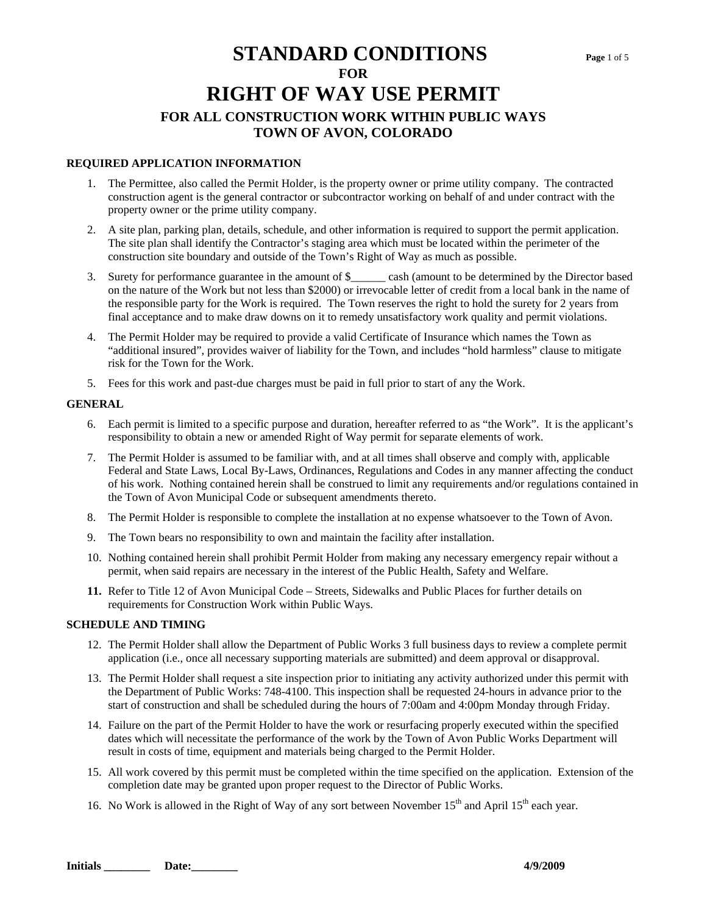#### **REQUIRED APPLICATION INFORMATION**

- 1. The Permittee, also called the Permit Holder, is the property owner or prime utility company. The contracted construction agent is the general contractor or subcontractor working on behalf of and under contract with the property owner or the prime utility company.
- 2. A site plan, parking plan, details, schedule, and other information is required to support the permit application. The site plan shall identify the Contractor's staging area which must be located within the perimeter of the construction site boundary and outside of the Town's Right of Way as much as possible.
- 3. Surety for performance guarantee in the amount of \$\_\_\_\_\_\_ cash (amount to be determined by the Director based on the nature of the Work but not less than \$2000) or irrevocable letter of credit from a local bank in the name of the responsible party for the Work is required. The Town reserves the right to hold the surety for 2 years from final acceptance and to make draw downs on it to remedy unsatisfactory work quality and permit violations.
- 4. The Permit Holder may be required to provide a valid Certificate of Insurance which names the Town as "additional insured", provides waiver of liability for the Town, and includes "hold harmless" clause to mitigate risk for the Town for the Work.
- 5. Fees for this work and past-due charges must be paid in full prior to start of any the Work.

#### **GENERAL**

- 6. Each permit is limited to a specific purpose and duration, hereafter referred to as "the Work". It is the applicant's responsibility to obtain a new or amended Right of Way permit for separate elements of work.
- 7. The Permit Holder is assumed to be familiar with, and at all times shall observe and comply with, applicable Federal and State Laws, Local By-Laws, Ordinances, Regulations and Codes in any manner affecting the conduct of his work. Nothing contained herein shall be construed to limit any requirements and/or regulations contained in the Town of Avon Municipal Code or subsequent amendments thereto.
- 8. The Permit Holder is responsible to complete the installation at no expense whatsoever to the Town of Avon.
- 9. The Town bears no responsibility to own and maintain the facility after installation.
- 10. Nothing contained herein shall prohibit Permit Holder from making any necessary emergency repair without a permit, when said repairs are necessary in the interest of the Public Health, Safety and Welfare.
- **11.** Refer to Title 12 of Avon Municipal Code Streets, Sidewalks and Public Places for further details on requirements for Construction Work within Public Ways.

#### **SCHEDULE AND TIMING**

- 12. The Permit Holder shall allow the Department of Public Works 3 full business days to review a complete permit application (i.e., once all necessary supporting materials are submitted) and deem approval or disapproval.
- 13. The Permit Holder shall request a site inspection prior to initiating any activity authorized under this permit with the Department of Public Works: 748-4100. This inspection shall be requested 24-hours in advance prior to the start of construction and shall be scheduled during the hours of 7:00am and 4:00pm Monday through Friday.
- 14. Failure on the part of the Permit Holder to have the work or resurfacing properly executed within the specified dates which will necessitate the performance of the work by the Town of Avon Public Works Department will result in costs of time, equipment and materials being charged to the Permit Holder.
- 15. All work covered by this permit must be completed within the time specified on the application. Extension of the completion date may be granted upon proper request to the Director of Public Works.
- 16. No Work is allowed in the Right of Way of any sort between November  $15<sup>th</sup>$  and April  $15<sup>th</sup>$  each year.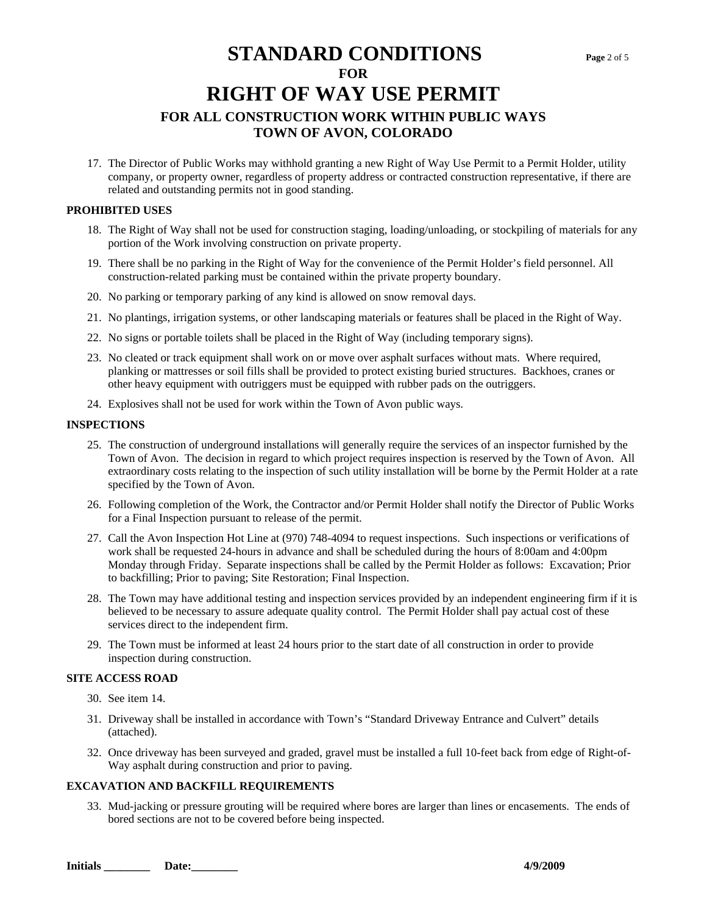17. The Director of Public Works may withhold granting a new Right of Way Use Permit to a Permit Holder, utility company, or property owner, regardless of property address or contracted construction representative, if there are related and outstanding permits not in good standing.

#### **PROHIBITED USES**

- 18. The Right of Way shall not be used for construction staging, loading/unloading, or stockpiling of materials for any portion of the Work involving construction on private property.
- 19. There shall be no parking in the Right of Way for the convenience of the Permit Holder's field personnel. All construction-related parking must be contained within the private property boundary.
- 20. No parking or temporary parking of any kind is allowed on snow removal days.
- 21. No plantings, irrigation systems, or other landscaping materials or features shall be placed in the Right of Way.
- 22. No signs or portable toilets shall be placed in the Right of Way (including temporary signs).
- 23. No cleated or track equipment shall work on or move over asphalt surfaces without mats. Where required, planking or mattresses or soil fills shall be provided to protect existing buried structures. Backhoes, cranes or other heavy equipment with outriggers must be equipped with rubber pads on the outriggers.
- 24. Explosives shall not be used for work within the Town of Avon public ways.

#### **INSPECTIONS**

- 25. The construction of underground installations will generally require the services of an inspector furnished by the Town of Avon. The decision in regard to which project requires inspection is reserved by the Town of Avon. All extraordinary costs relating to the inspection of such utility installation will be borne by the Permit Holder at a rate specified by the Town of Avon.
- 26. Following completion of the Work, the Contractor and/or Permit Holder shall notify the Director of Public Works for a Final Inspection pursuant to release of the permit.
- 27. Call the Avon Inspection Hot Line at (970) 748-4094 to request inspections. Such inspections or verifications of work shall be requested 24-hours in advance and shall be scheduled during the hours of 8:00am and 4:00pm Monday through Friday. Separate inspections shall be called by the Permit Holder as follows: Excavation; Prior to backfilling; Prior to paving; Site Restoration; Final Inspection.
- 28. The Town may have additional testing and inspection services provided by an independent engineering firm if it is believed to be necessary to assure adequate quality control. The Permit Holder shall pay actual cost of these services direct to the independent firm.
- 29. The Town must be informed at least 24 hours prior to the start date of all construction in order to provide inspection during construction.

#### **SITE ACCESS ROAD**

- 30. See item 14.
- 31. Driveway shall be installed in accordance with Town's "Standard Driveway Entrance and Culvert" details (attached).
- 32. Once driveway has been surveyed and graded, gravel must be installed a full 10-feet back from edge of Right-of-Way asphalt during construction and prior to paving.

#### **EXCAVATION AND BACKFILL REQUIREMENTS**

33. Mud-jacking or pressure grouting will be required where bores are larger than lines or encasements. The ends of bored sections are not to be covered before being inspected.

**Initials Date: Date: 2/9/2009**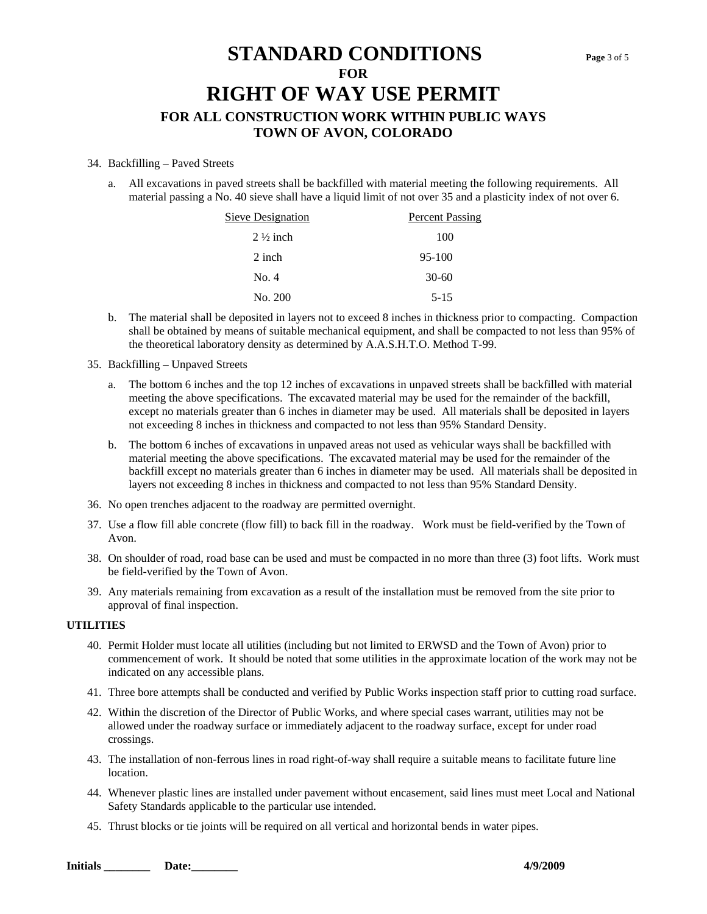#### 34. Backfilling – Paved Streets

a. All excavations in paved streets shall be backfilled with material meeting the following requirements. All material passing a No. 40 sieve shall have a liquid limit of not over 35 and a plasticity index of not over 6.

| Sieve Designation   | <b>Percent Passing</b> |
|---------------------|------------------------|
| $2\frac{1}{2}$ inch | 100                    |
| 2 inch              | 95-100                 |
| No. 4               | $30-60$                |
| No. 200             | $5 - 15$               |

- b. The material shall be deposited in layers not to exceed 8 inches in thickness prior to compacting. Compaction shall be obtained by means of suitable mechanical equipment, and shall be compacted to not less than 95% of the theoretical laboratory density as determined by A.A.S.H.T.O. Method T-99.
- 35. Backfilling Unpaved Streets
	- a. The bottom 6 inches and the top 12 inches of excavations in unpaved streets shall be backfilled with material meeting the above specifications. The excavated material may be used for the remainder of the backfill, except no materials greater than 6 inches in diameter may be used. All materials shall be deposited in layers not exceeding 8 inches in thickness and compacted to not less than 95% Standard Density.
	- b. The bottom 6 inches of excavations in unpaved areas not used as vehicular ways shall be backfilled with material meeting the above specifications. The excavated material may be used for the remainder of the backfill except no materials greater than 6 inches in diameter may be used. All materials shall be deposited in layers not exceeding 8 inches in thickness and compacted to not less than 95% Standard Density.
- 36. No open trenches adjacent to the roadway are permitted overnight.
- 37. Use a flow fill able concrete (flow fill) to back fill in the roadway. Work must be field-verified by the Town of Avon.
- 38. On shoulder of road, road base can be used and must be compacted in no more than three (3) foot lifts. Work must be field-verified by the Town of Avon.
- 39. Any materials remaining from excavation as a result of the installation must be removed from the site prior to approval of final inspection.

#### **UTILITIES**

- 40. Permit Holder must locate all utilities (including but not limited to ERWSD and the Town of Avon) prior to commencement of work. It should be noted that some utilities in the approximate location of the work may not be indicated on any accessible plans.
- 41. Three bore attempts shall be conducted and verified by Public Works inspection staff prior to cutting road surface.
- 42. Within the discretion of the Director of Public Works, and where special cases warrant, utilities may not be allowed under the roadway surface or immediately adjacent to the roadway surface, except for under road crossings.
- 43. The installation of non-ferrous lines in road right-of-way shall require a suitable means to facilitate future line location.
- 44. Whenever plastic lines are installed under pavement without encasement, said lines must meet Local and National Safety Standards applicable to the particular use intended.
- 45. Thrust blocks or tie joints will be required on all vertical and horizontal bends in water pipes.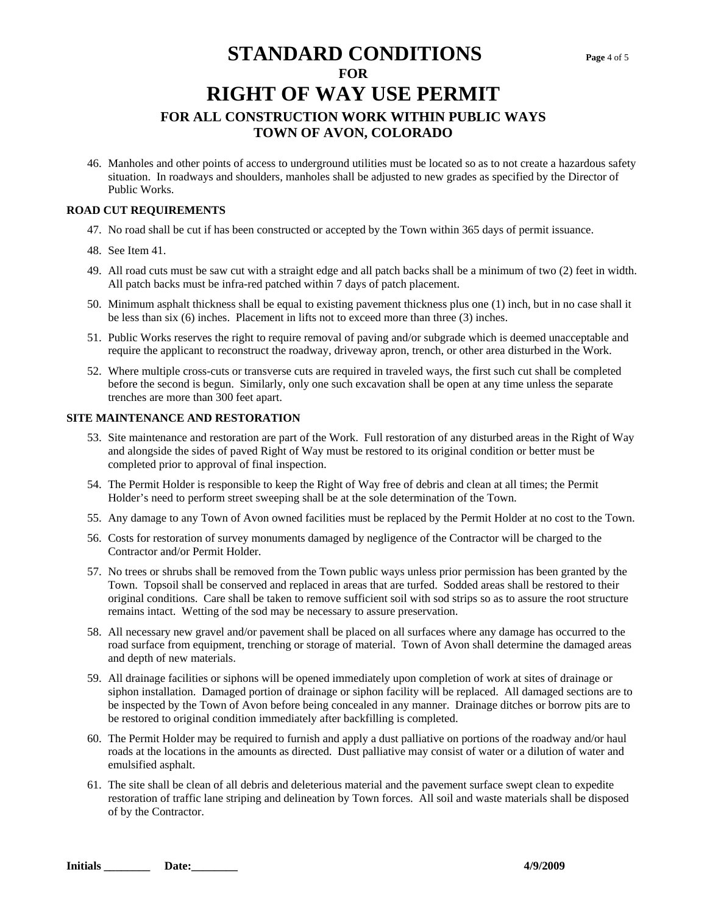46. Manholes and other points of access to underground utilities must be located so as to not create a hazardous safety situation. In roadways and shoulders, manholes shall be adjusted to new grades as specified by the Director of Public Works.

#### **ROAD CUT REQUIREMENTS**

- 47. No road shall be cut if has been constructed or accepted by the Town within 365 days of permit issuance.
- 48. See Item 41.
- 49. All road cuts must be saw cut with a straight edge and all patch backs shall be a minimum of two (2) feet in width. All patch backs must be infra-red patched within 7 days of patch placement.
- 50. Minimum asphalt thickness shall be equal to existing pavement thickness plus one (1) inch, but in no case shall it be less than six (6) inches. Placement in lifts not to exceed more than three (3) inches.
- 51. Public Works reserves the right to require removal of paving and/or subgrade which is deemed unacceptable and require the applicant to reconstruct the roadway, driveway apron, trench, or other area disturbed in the Work.
- 52. Where multiple cross-cuts or transverse cuts are required in traveled ways, the first such cut shall be completed before the second is begun. Similarly, only one such excavation shall be open at any time unless the separate trenches are more than 300 feet apart.

#### **SITE MAINTENANCE AND RESTORATION**

- 53. Site maintenance and restoration are part of the Work. Full restoration of any disturbed areas in the Right of Way and alongside the sides of paved Right of Way must be restored to its original condition or better must be completed prior to approval of final inspection.
- 54. The Permit Holder is responsible to keep the Right of Way free of debris and clean at all times; the Permit Holder's need to perform street sweeping shall be at the sole determination of the Town.
- 55. Any damage to any Town of Avon owned facilities must be replaced by the Permit Holder at no cost to the Town.
- 56. Costs for restoration of survey monuments damaged by negligence of the Contractor will be charged to the Contractor and/or Permit Holder.
- 57. No trees or shrubs shall be removed from the Town public ways unless prior permission has been granted by the Town. Topsoil shall be conserved and replaced in areas that are turfed. Sodded areas shall be restored to their original conditions. Care shall be taken to remove sufficient soil with sod strips so as to assure the root structure remains intact. Wetting of the sod may be necessary to assure preservation.
- 58. All necessary new gravel and/or pavement shall be placed on all surfaces where any damage has occurred to the road surface from equipment, trenching or storage of material. Town of Avon shall determine the damaged areas and depth of new materials.
- 59. All drainage facilities or siphons will be opened immediately upon completion of work at sites of drainage or siphon installation. Damaged portion of drainage or siphon facility will be replaced. All damaged sections are to be inspected by the Town of Avon before being concealed in any manner. Drainage ditches or borrow pits are to be restored to original condition immediately after backfilling is completed.
- 60. The Permit Holder may be required to furnish and apply a dust palliative on portions of the roadway and/or haul roads at the locations in the amounts as directed. Dust palliative may consist of water or a dilution of water and emulsified asphalt.
- 61. The site shall be clean of all debris and deleterious material and the pavement surface swept clean to expedite restoration of traffic lane striping and delineation by Town forces. All soil and waste materials shall be disposed of by the Contractor.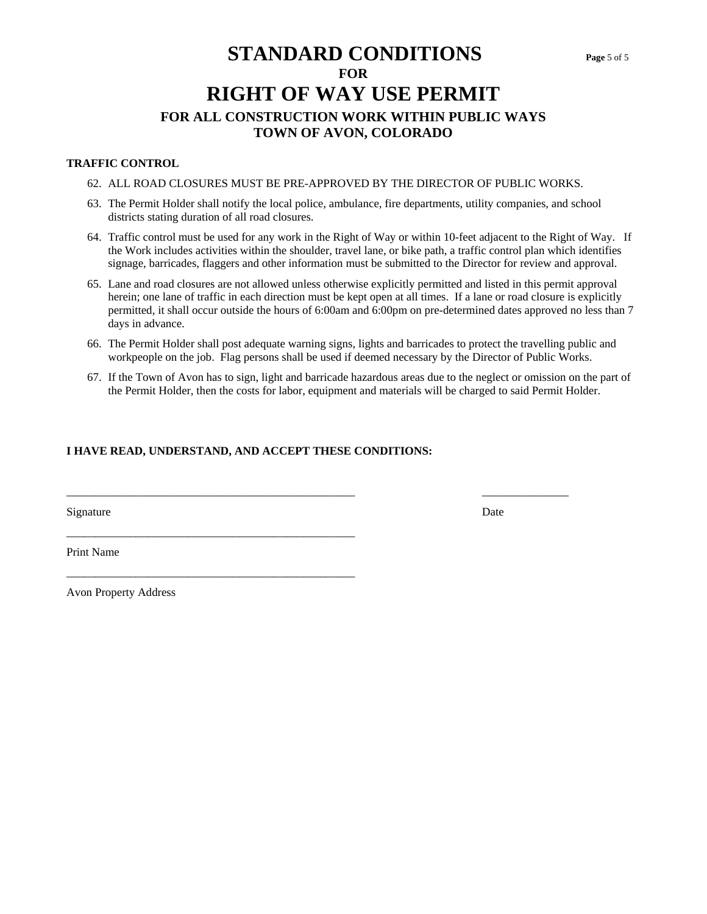#### **TRAFFIC CONTROL**

- 62. ALL ROAD CLOSURES MUST BE PRE-APPROVED BY THE DIRECTOR OF PUBLIC WORKS.
- 63. The Permit Holder shall notify the local police, ambulance, fire departments, utility companies, and school districts stating duration of all road closures.
- 64. Traffic control must be used for any work in the Right of Way or within 10-feet adjacent to the Right of Way. If the Work includes activities within the shoulder, travel lane, or bike path, a traffic control plan which identifies signage, barricades, flaggers and other information must be submitted to the Director for review and approval.
- 65. Lane and road closures are not allowed unless otherwise explicitly permitted and listed in this permit approval herein; one lane of traffic in each direction must be kept open at all times. If a lane or road closure is explicitly permitted, it shall occur outside the hours of 6:00am and 6:00pm on pre-determined dates approved no less than 7 days in advance.
- 66. The Permit Holder shall post adequate warning signs, lights and barricades to protect the travelling public and workpeople on the job. Flag persons shall be used if deemed necessary by the Director of Public Works.

\_\_\_\_\_\_\_\_\_\_\_\_\_\_\_\_\_\_\_\_\_\_\_\_\_\_\_\_\_\_\_\_\_\_\_\_\_\_\_\_\_\_\_\_\_\_\_\_\_\_ \_\_\_\_\_\_\_\_\_\_\_\_\_\_\_

67. If the Town of Avon has to sign, light and barricade hazardous areas due to the neglect or omission on the part of the Permit Holder, then the costs for labor, equipment and materials will be charged to said Permit Holder.

#### **I HAVE READ, UNDERSTAND, AND ACCEPT THESE CONDITIONS:**

\_\_\_\_\_\_\_\_\_\_\_\_\_\_\_\_\_\_\_\_\_\_\_\_\_\_\_\_\_\_\_\_\_\_\_\_\_\_\_\_\_\_\_\_\_\_\_\_\_\_

\_\_\_\_\_\_\_\_\_\_\_\_\_\_\_\_\_\_\_\_\_\_\_\_\_\_\_\_\_\_\_\_\_\_\_\_\_\_\_\_\_\_\_\_\_\_\_\_\_\_

Signature Date Date of the Second Second Second Second Second Second Second Second Second Second Second Second Second Second Second Second Second Second Second Second Second Second Second Second Second Second Second Second

Print Name

Avon Property Address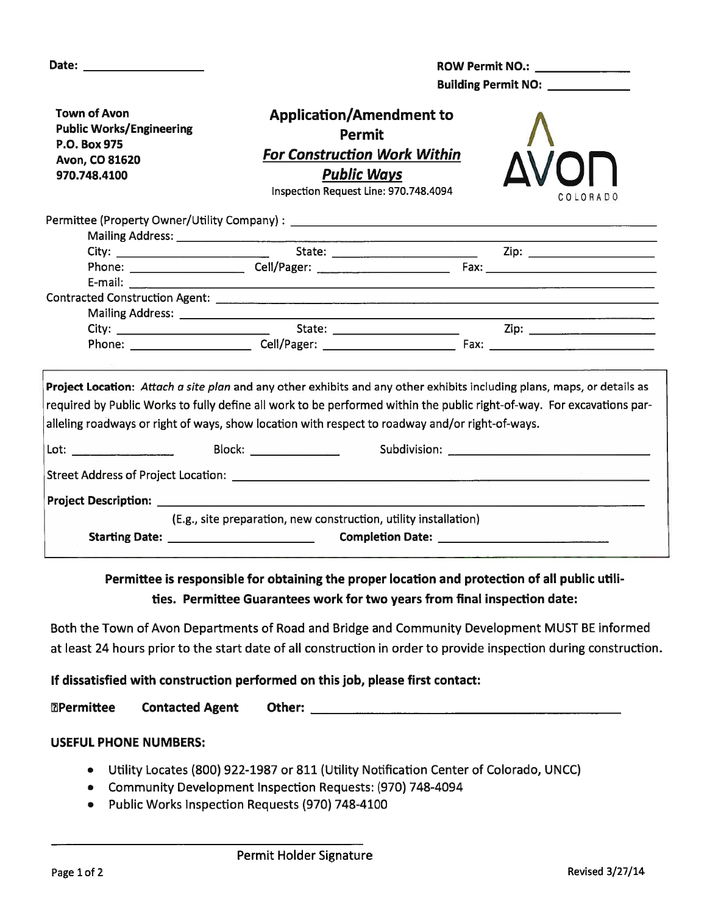|                                                                                                          | ROW Permit NO.: \\cdot \\sqrt{\sqrt{\sqrt{\sqrt{\sqrt{\sqrt{\sqrt{\sqrt{\sqrt{\sqrt{\sqrt{\sqrt{\sqrt{\sqrt{\sqrt{\sqrt{\sqrt{\sqrt{\sqrt{\sqrt{\sqrt{\sqrt{\sqrt{\sqrt{\sqrt{\sqrt{\sqrt{\sqrt{\sqrt{\sqrt{\sqrt{\sqrt{\sqrt{<br>Building Permit NO: _____________                                                                                  |                                                                                                                                                                                                                                    |  |  |  |
|----------------------------------------------------------------------------------------------------------|------------------------------------------------------------------------------------------------------------------------------------------------------------------------------------------------------------------------------------------------------------------------------------------------------------------------------------------------------|------------------------------------------------------------------------------------------------------------------------------------------------------------------------------------------------------------------------------------|--|--|--|
| <b>Town of Avon</b><br><b>Public Works/Engineering</b><br>P.O. Box 975<br>Avon, CO 81620<br>970.748.4100 | <b>Application/Amendment to</b><br>Permit<br><b>For Construction Work Within</b><br><b>Public Ways</b><br>Inspection Request Line: 970.748.4094                                                                                                                                                                                                      | COLORADO                                                                                                                                                                                                                           |  |  |  |
|                                                                                                          |                                                                                                                                                                                                                                                                                                                                                      |                                                                                                                                                                                                                                    |  |  |  |
|                                                                                                          |                                                                                                                                                                                                                                                                                                                                                      |                                                                                                                                                                                                                                    |  |  |  |
|                                                                                                          |                                                                                                                                                                                                                                                                                                                                                      |                                                                                                                                                                                                                                    |  |  |  |
|                                                                                                          |                                                                                                                                                                                                                                                                                                                                                      |                                                                                                                                                                                                                                    |  |  |  |
|                                                                                                          |                                                                                                                                                                                                                                                                                                                                                      |                                                                                                                                                                                                                                    |  |  |  |
|                                                                                                          |                                                                                                                                                                                                                                                                                                                                                      |                                                                                                                                                                                                                                    |  |  |  |
|                                                                                                          | Mailing Address: Lawrence and Contract and Contract and Contract and Contract and Contract and Contract and Contract and Contract and Contract and Contract and Contract and Contract and Contract and Contract and Contract a                                                                                                                       |                                                                                                                                                                                                                                    |  |  |  |
|                                                                                                          |                                                                                                                                                                                                                                                                                                                                                      |                                                                                                                                                                                                                                    |  |  |  |
|                                                                                                          | Project Location: Attach a site plan and any other exhibits and any other exhibits including plans, maps, or details as<br>required by Public Works to fully define all work to be performed within the public right-of-way. For excavations par-<br>alleling roadways or right of ways, show location with respect to roadway and/or right-of-ways. |                                                                                                                                                                                                                                    |  |  |  |
| Lot:                                                                                                     |                                                                                                                                                                                                                                                                                                                                                      | <b>Subdivision:</b> Analysis of the state of the state of the state of the state of the state of the state of the state of the state of the state of the state of the state of the state of the state of the state of the state of |  |  |  |
|                                                                                                          | Street Address of Project Location: North Street Address of Project Location: North Street Address of Project                                                                                                                                                                                                                                        |                                                                                                                                                                                                                                    |  |  |  |
|                                                                                                          |                                                                                                                                                                                                                                                                                                                                                      |                                                                                                                                                                                                                                    |  |  |  |
|                                                                                                          |                                                                                                                                                                                                                                                                                                                                                      |                                                                                                                                                                                                                                    |  |  |  |
|                                                                                                          | (E.g., site preparation, new construction, utility installation)                                                                                                                                                                                                                                                                                     |                                                                                                                                                                                                                                    |  |  |  |

### Permittee is responsible for obtaining the proper location and protection of all public utilities. Permittee Guarantees work for two years from final inspection date:

Both the Town of Avon Departments of Road and Bridge and Community Development MUST BE informed at least 24 hours prior to the start date of all construction in order to provide inspection during construction.

### If dissatisfied with construction performed on this job, please first contact:

**Permittee Contacted Agent** Other:

### **USEFUL PHONE NUMBERS:**

- Utility Locates (800) 922-1987 or 811 (Utility Notification Center of Colorado, UNCC)
- Community Development Inspection Requests: (970) 748-4094
- Public Works Inspection Requests (970) 748-4100